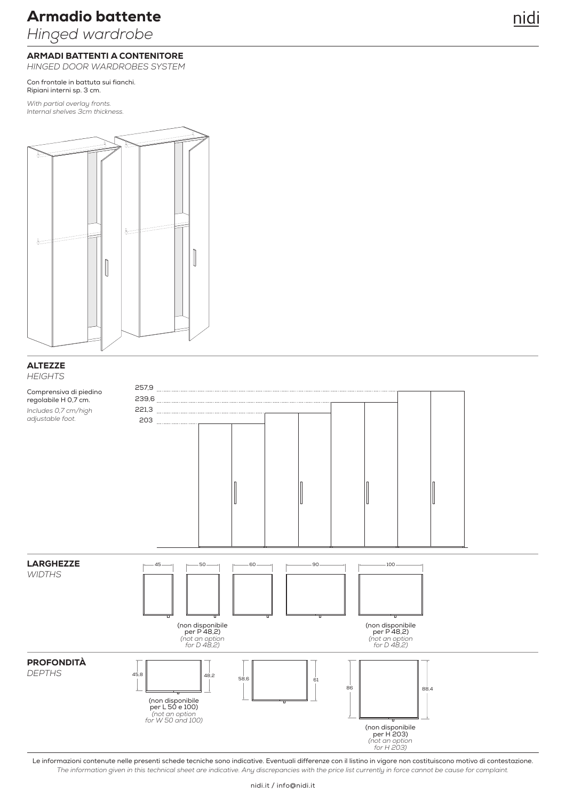*Hinged wardrobe*

### ARMADI BATTENTI A CONTENITORE

*HINGED DOOR WARDROBES SYSTEM*

Con frontale in battuta sui fianchi. Ripiani interni sp. 3 cm.

*With partial overlay fronts. Internal shelves 3cm thickness.*



### **ALTEZZE** *HEIGHTS*

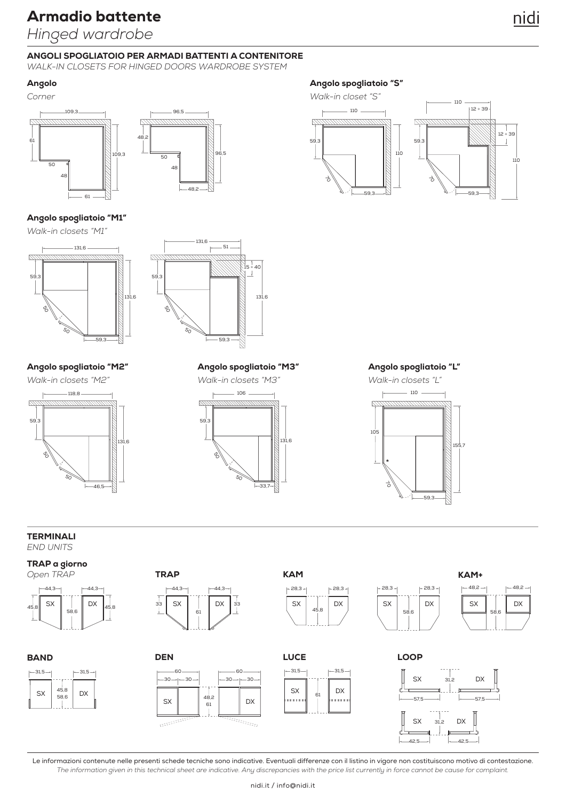*Hinged wardrobe*

### ANGOLI SPOGLIATOIO PER ARMADI BATTENTI A CONTENITORE

*WALK-IN CLOSETS FOR HINGED DOORS WARDROBE SYSTEM*

 $59$ 

Z

### Angolo





*Walk-in closets "M1"*





131,6  $-51$ 131,6 1<br>15 ÷ 40<br>1 ↓ 59,3 50 50

48,2

### Angolo spogliatoio "M2" Angolo spogliatoio "M3" Angolo spogliatoio "L"



### Angolo spogliatoio "S"







#### TERMINALI *END UNITS*

TRAP a giorno



**BAND** 



 $-31.5 - 1 = 31.5$ 45,8  $SX \mid \frac{10}{58,6} \mid DX$ 



### DEN

**TRAP** 





 $-31,5 \rightarrow$   $+-31,5$ 

61

 $S_X$   $\parallel$   $\parallel$  DX

**LUCE** 

 $\frac{1}{2}$ 



### LOOP

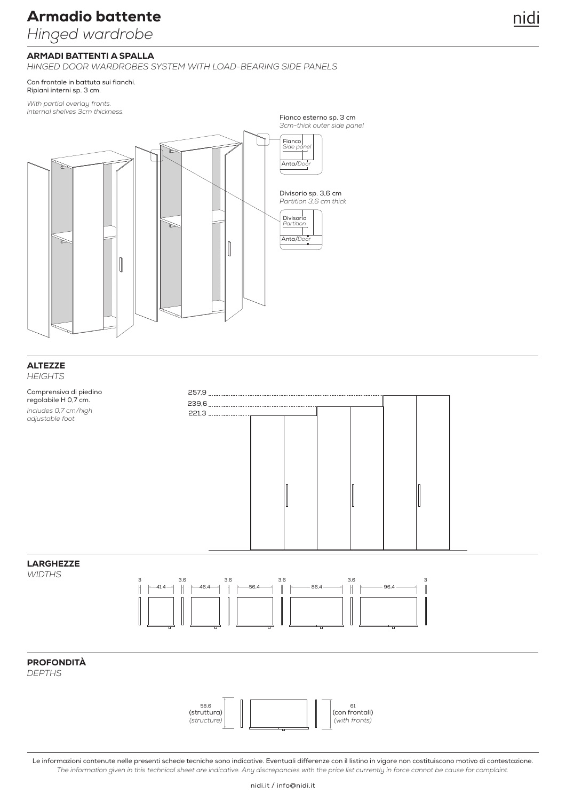*Hinged wardrobe*

### ARMADI BATTENTI A SPALLA

*HINGED DOOR WARDROBES SYSTEM WITH LOAD-BEARING SIDE PANELS*

Con frontale in battuta sui fianchi. Ripiani interni sp. 3 cm.

*With partial overlay fronts. Internal shelves 3cm thickness.*



#### **ALTEZZE** *HEIGHTS*



### LARGHEZZE

*WIDTHS*



### PROFONDITÀ

*DEPTHS*

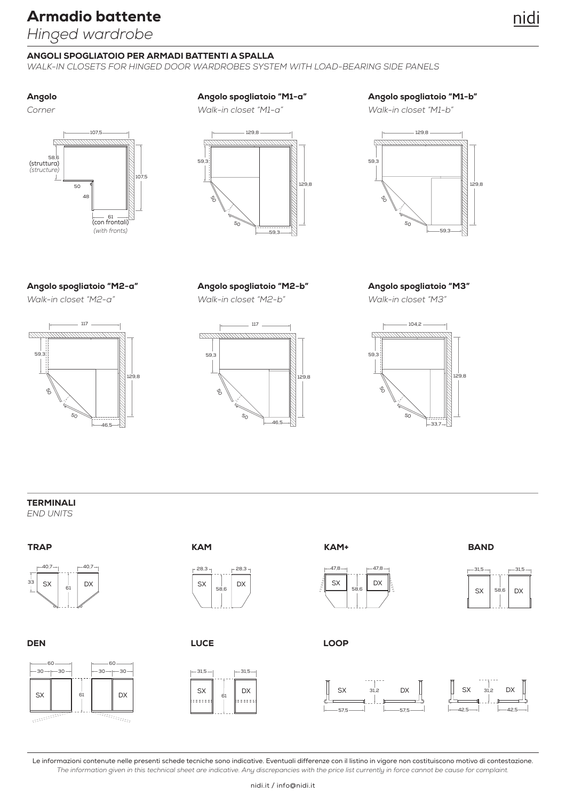*Hinged wardrobe*

### ANGOLI SPOGLIATOIO PER ARMADI BATTENTI A SPALLA

*WALK-IN CLOSETS FOR HINGED DOOR WARDROBES SYSTEM WITH LOAD-BEARING SIDE PANELS*

*Corner*



### Angolo Angolo spogliatoio "M1-a"

*Walk-in closet "M1-a"*



Angolo spogliatoio "M1-b"

*Walk-in closet "M1-b"*



### Angolo spogliatoio "M2-a"

*Walk-in closet "M2-a"*



Angolo spogliatoio "M2-b" Angolo spogliatoio "M3" *Walk-in closet "M2-b" Walk-in closet "M3"*





TERMINALI

*END UNITS*

### **TRAP**

**DEN** 

 $-30 -$ 

**Report**s



60 ——⊣ ⊢——60

 $-30 \rightarrow$   $-30 \rightarrow 30$ 

 $\overline{\overline{m}_{\overline{m}_{\overline{u}_{\overline{u}_{\overline{u}}}}}}$ 

61

**KAM** 



**LUCE** 





### LOOP



**BAND** 

 $-31,5 \rightarrow$   $-31,5$ 

58,6

 $SX$  58.6 DX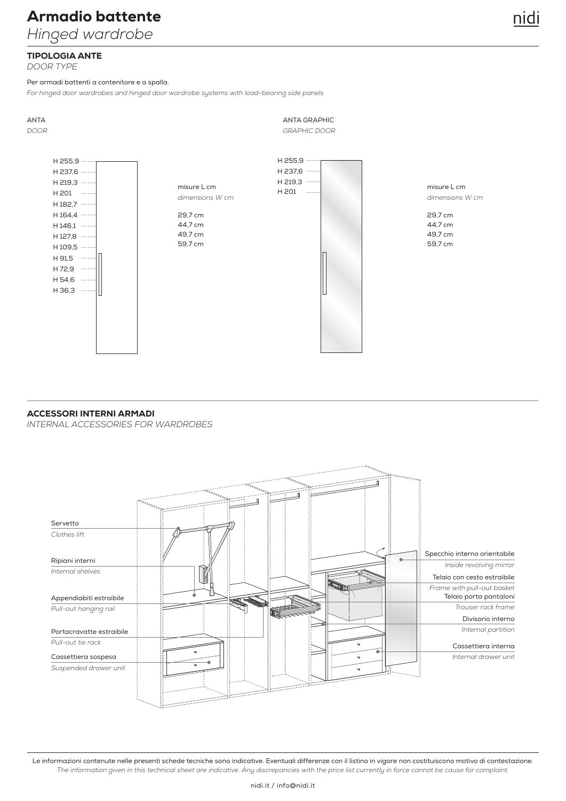*Hinged wardrobe*

# nidi

### TIPOLOGIA ANTE

*DOOR TYPE*

Per armadi battenti a contenitore e a spalla.

*For hinged door wardrobes and hinged door wardrobe systems with load-bearing side panels*

ANTA ANTA GRAPHIC *DOOR GRAPHIC DOOR* H 255,9 H 255,9 H 237,6 H 237,6 H 219,3 ···· H 219,3 ····  $\begin{array}{ccc}\n \overline{1} & \overline{213,3} \\
\overline{1201} & \overline{213,3}\n \end{array}$  misure L cm H 201 H 201  $\sim$   $\sim$   $\sim$   $\sim$ *dimensions W cm dimensions W cm* H 182,7 ·····  $H$  164.4  $...$ 29,7 cm 29,7 cm 44,7 cm 44,7 cm  $H$  146.1  $...$ 49,7 cm 49,7 cm  $H$  127.8  $\cdots$ 59,7 cm 59,7 cm  $H$  109.5  $...$ H 91.5 ..... H 72,9 ····· H 54,6 H 36,3 ·····

### ACCESSORI INTERNI ARMADI

*INTERNAL ACCESSORIES FOR WARDROBES*

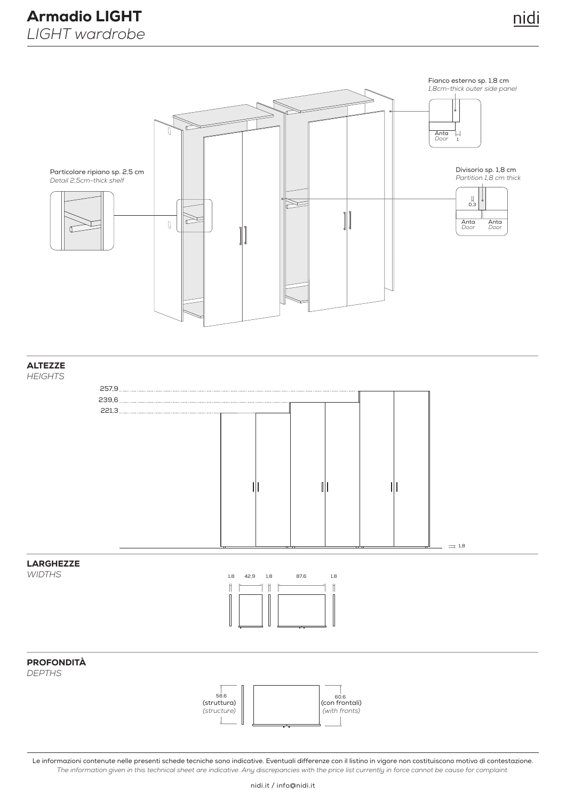